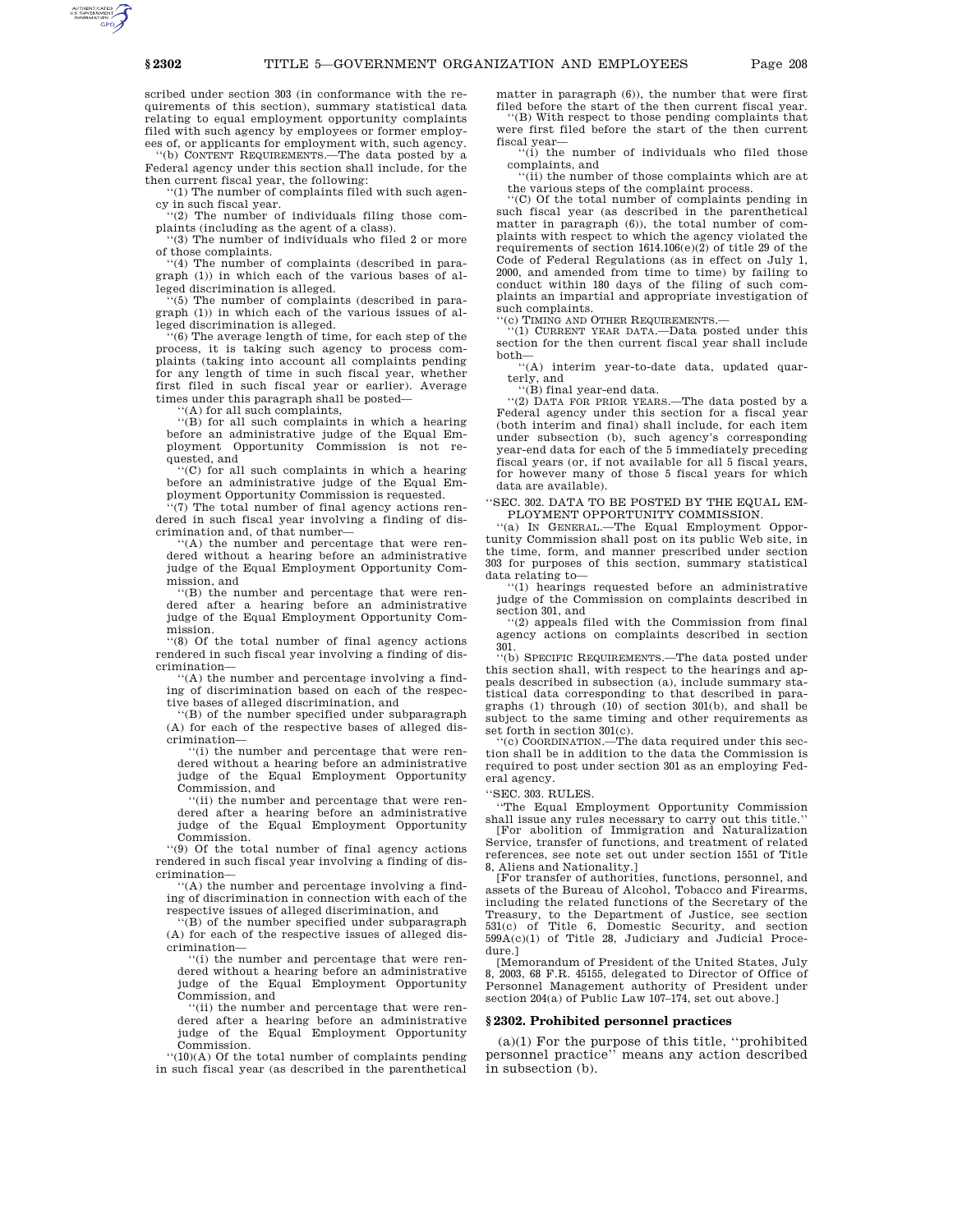scribed under section 303 (in conformance with the requirements of this section), summary statistical data relating to equal employment opportunity complaints filed with such agency by employees or former employees of, or applicants for employment with, such agency. ''(b) CONTENT REQUIREMENTS.—The data posted by a

Federal agency under this section shall include, for the then current fiscal year, the following: ''(1) The number of complaints filed with such agen-

cy in such fiscal year.

'(2) The number of individuals filing those complaints (including as the agent of a class).

'(3) The number of individuals who filed 2 or more of those complaints.

''(4) The number of complaints (described in paragraph (1)) in which each of the various bases of alleged discrimination is alleged.

''(5) The number of complaints (described in paragraph (1)) in which each of the various issues of alleged discrimination is alleged.

 $(6)$  The average length of time, for each step of the process, it is taking such agency to process complaints (taking into account all complaints pending for any length of time in such fiscal year, whether first filed in such fiscal year or earlier). Average times under this paragraph shall be posted—

'(A) for all such complaints,

''(B) for all such complaints in which a hearing before an administrative judge of the Equal Employment Opportunity Commission is not requested, and

''(C) for all such complaints in which a hearing before an administrative judge of the Equal Employment Opportunity Commission is requested.

'(7) The total number of final agency actions rendered in such fiscal year involving a finding of discrimination and, of that number—

''(A) the number and percentage that were rendered without a hearing before an administrative judge of the Equal Employment Opportunity Commission, and

''(B) the number and percentage that were rendered after a hearing before an administrative judge of the Equal Employment Opportunity Commission.

 $(8)$  Of the total number of final agency actions rendered in such fiscal year involving a finding of discrimination—

''(A) the number and percentage involving a finding of discrimination based on each of the respective bases of alleged discrimination, and

''(B) of the number specified under subparagraph (A) for each of the respective bases of alleged discrimination—

''(i) the number and percentage that were rendered without a hearing before an administrative judge of the Equal Employment Opportunity Commission, and

''(ii) the number and percentage that were rendered after a hearing before an administrative judge of the Equal Employment Opportunity Commission.

''(9) Of the total number of final agency actions rendered in such fiscal year involving a finding of discrimination—

''(A) the number and percentage involving a finding of discrimination in connection with each of the respective issues of alleged discrimination, and

''(B) of the number specified under subparagraph (A) for each of the respective issues of alleged discrimination—

''(i) the number and percentage that were rendered without a hearing before an administrative judge of the Equal Employment Opportunity Commission, and

''(ii) the number and percentage that were rendered after a hearing before an administrative judge of the Equal Employment Opportunity Commission.

''(10)(A) Of the total number of complaints pending in such fiscal year (as described in the parenthetical matter in paragraph (6)), the number that were first filed before the start of the then current fiscal year. ''(B) With respect to those pending complaints that

were first filed before the start of the then current fiscal year— ''(i) the number of individuals who filed those

complaints, and ''(ii) the number of those complaints which are at

the various steps of the complaint process.

''(C) Of the total number of complaints pending in such fiscal year (as described in the parenthetical matter in paragraph (6)), the total number of complaints with respect to which the agency violated the requirements of section 1614.106(e)(2) of title 29 of the Code of Federal Regulations (as in effect on July 1, 2000, and amended from time to time) by failing to conduct within 180 days of the filing of such complaints an impartial and appropriate investigation of such complaints.

'(c) TIMING AND OTHER REQUIREMENTS.

''(1) CURRENT YEAR DATA.—Data posted under this section for the then current fiscal year shall include both—

''(A) interim year-to-date data, updated quarterly, and ''(B) final year-end data.

''(2) DATA FOR PRIOR YEARS.—The data posted by a Federal agency under this section for a fiscal year (both interim and final) shall include, for each item under subsection (b), such agency's corresponding year-end data for each of the 5 immediately preceding fiscal years (or, if not available for all 5 fiscal years, for however many of those 5 fiscal years for which data are available).

''SEC. 302. DATA TO BE POSTED BY THE EQUAL EM-PLOYMENT OPPORTUNITY COMMISSION.

''(a) IN GENERAL.—The Equal Employment Opportunity Commission shall post on its public Web site, in the time, form, and manner prescribed under section 303 for purposes of this section, summary statistical data relating to—

''(1) hearings requested before an administrative judge of the Commission on complaints described in section 301, and

''(2) appeals filed with the Commission from final agency actions on complaints described in section 301.

''(b) SPECIFIC REQUIREMENTS.—The data posted under this section shall, with respect to the hearings and appeals described in subsection (a), include summary statistical data corresponding to that described in paragraphs (1) through (10) of section 301(b), and shall be subject to the same timing and other requirements as set forth in section 301(c).

''(c) COORDINATION.—The data required under this section shall be in addition to the data the Commission is required to post under section 301 as an employing Federal agency.

''SEC. 303. RULES.

''The Equal Employment Opportunity Commission shall issue any rules necessary to carry out this title.'' [For abolition of Immigration and Naturalization

Service, transfer of functions, and treatment of related references, see note set out under section 1551 of Title 8, Aliens and Nationality.]

[For transfer of authorities, functions, personnel, and assets of the Bureau of Alcohol, Tobacco and Firearms, including the related functions of the Secretary of the Treasury, to the Department of Justice, see section 531(c) of Title 6, Domestic Security, and section 599A(c)(1) of Title 28, Judiciary and Judicial Procedure.]

[Memorandum of President of the United States, July 8, 2003, 68 F.R. 45155, delegated to Director of Office of Personnel Management authority of President under section 204(a) of Public Law 107-174, set out above.

### **§ 2302. Prohibited personnel practices**

(a)(1) For the purpose of this title, ''prohibited personnel practice'' means any action described in subsection (b).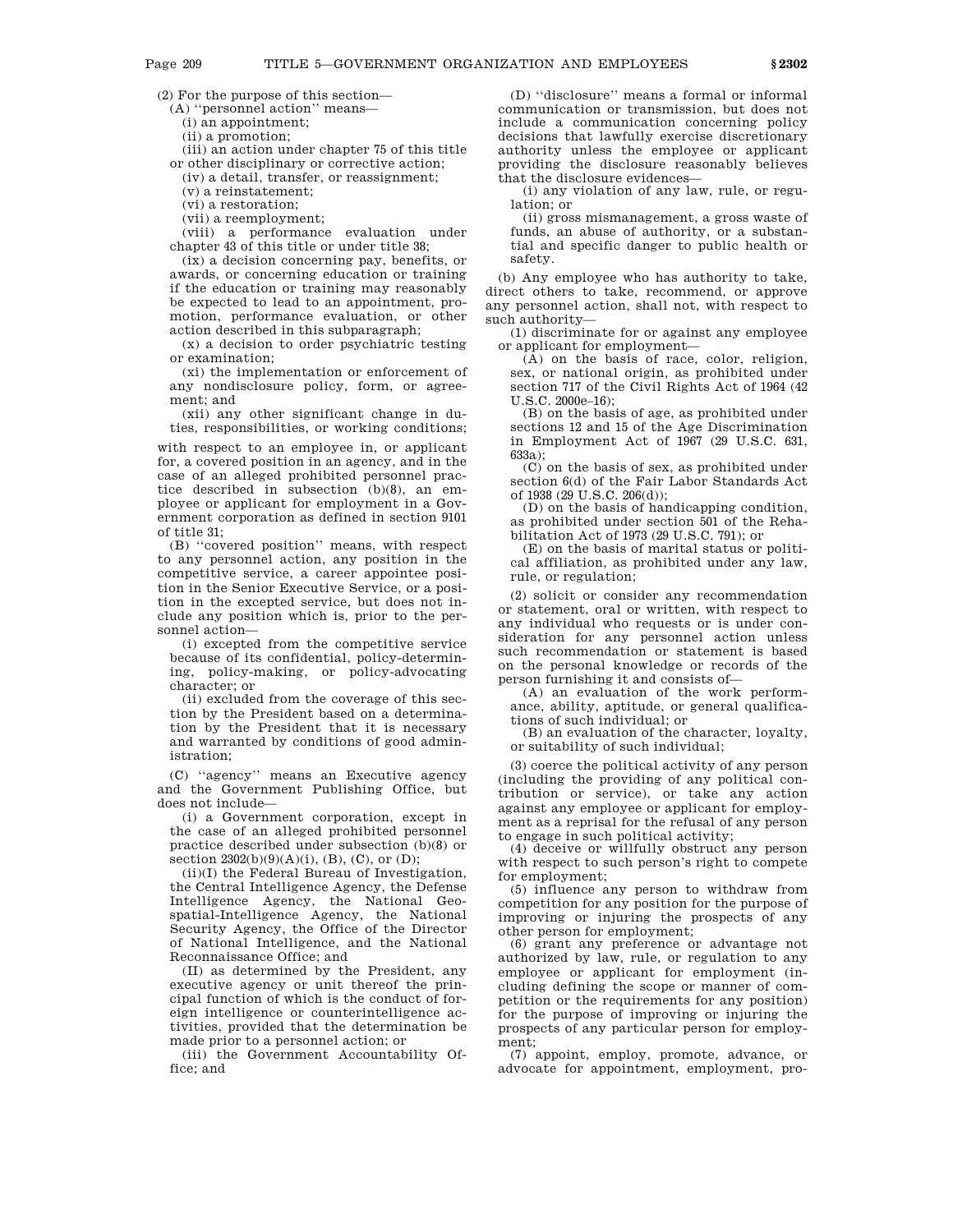(A) ''personnel action'' means—

(i) an appointment;

(ii) a promotion;

(iii) an action under chapter 75 of this title or other disciplinary or corrective action;

(iv) a detail, transfer, or reassignment;

(v) a reinstatement;

(vi) a restoration;

(vii) a reemployment;

(viii) a performance evaluation under chapter 43 of this title or under title 38;

(ix) a decision concerning pay, benefits, or awards, or concerning education or training if the education or training may reasonably be expected to lead to an appointment, promotion, performance evaluation, or other action described in this subparagraph;

(x) a decision to order psychiatric testing or examination;

(xi) the implementation or enforcement of any nondisclosure policy, form, or agreement; and

(xii) any other significant change in duties, responsibilities, or working conditions;

with respect to an employee in, or applicant for, a covered position in an agency, and in the case of an alleged prohibited personnel practice described in subsection (b)(8), an employee or applicant for employment in a Government corporation as defined in section 9101 of title 31;

(B) ''covered position'' means, with respect to any personnel action, any position in the competitive service, a career appointee position in the Senior Executive Service, or a position in the excepted service, but does not include any position which is, prior to the personnel action—

(i) excepted from the competitive service because of its confidential, policy-determining, policy-making, or policy-advocating character; or

(ii) excluded from the coverage of this section by the President based on a determination by the President that it is necessary and warranted by conditions of good administration;

(C) ''agency'' means an Executive agency and the Government Publishing Office, but does not include—

(i) a Government corporation, except in the case of an alleged prohibited personnel practice described under subsection (b)(8) or section  $2302(b)(9)(A)(i)$ , (B), (C), or (D);

(ii)(I) the Federal Bureau of Investigation, the Central Intelligence Agency, the Defense Intelligence Agency, the National Geospatial-Intelligence Agency, the National Security Agency, the Office of the Director of National Intelligence, and the National Reconnaissance Office; and

(II) as determined by the President, any executive agency or unit thereof the principal function of which is the conduct of foreign intelligence or counterintelligence activities, provided that the determination be made prior to a personnel action; or

(iii) the Government Accountability Office; and

(D) ''disclosure'' means a formal or informal communication or transmission, but does not include a communication concerning policy decisions that lawfully exercise discretionary authority unless the employee or applicant providing the disclosure reasonably believes that the disclosure evidences—

(i) any violation of any law, rule, or regulation; or

(ii) gross mismanagement, a gross waste of funds, an abuse of authority, or a substantial and specific danger to public health or safety.

(b) Any employee who has authority to take, direct others to take, recommend, or approve any personnel action, shall not, with respect to such authority—

(1) discriminate for or against any employee or applicant for employment—

(A) on the basis of race, color, religion, sex, or national origin, as prohibited under section 717 of the Civil Rights Act of 1964 (42 U.S.C. 2000e–16);

(B) on the basis of age, as prohibited under sections 12 and 15 of the Age Discrimination in Employment Act of 1967 (29 U.S.C. 631, 633a);

(C) on the basis of sex, as prohibited under section 6(d) of the Fair Labor Standards Act of 1938 (29 U.S.C. 206(d));

(D) on the basis of handicapping condition, as prohibited under section 501 of the Rehabilitation Act of 1973 (29 U.S.C. 791); or

(E) on the basis of marital status or political affiliation, as prohibited under any law, rule, or regulation;

(2) solicit or consider any recommendation or statement, oral or written, with respect to any individual who requests or is under consideration for any personnel action unless such recommendation or statement is based on the personal knowledge or records of the person furnishing it and consists of—

(A) an evaluation of the work performance, ability, aptitude, or general qualifications of such individual; or

(B) an evaluation of the character, loyalty, or suitability of such individual;

(3) coerce the political activity of any person (including the providing of any political contribution or service), or take any action against any employee or applicant for employment as a reprisal for the refusal of any person to engage in such political activity;

(4) deceive or willfully obstruct any person with respect to such person's right to compete for employment;

(5) influence any person to withdraw from competition for any position for the purpose of improving or injuring the prospects of any other person for employment;

(6) grant any preference or advantage not authorized by law, rule, or regulation to any employee or applicant for employment (including defining the scope or manner of competition or the requirements for any position) for the purpose of improving or injuring the prospects of any particular person for employment;

(7) appoint, employ, promote, advance, or advocate for appointment, employment, pro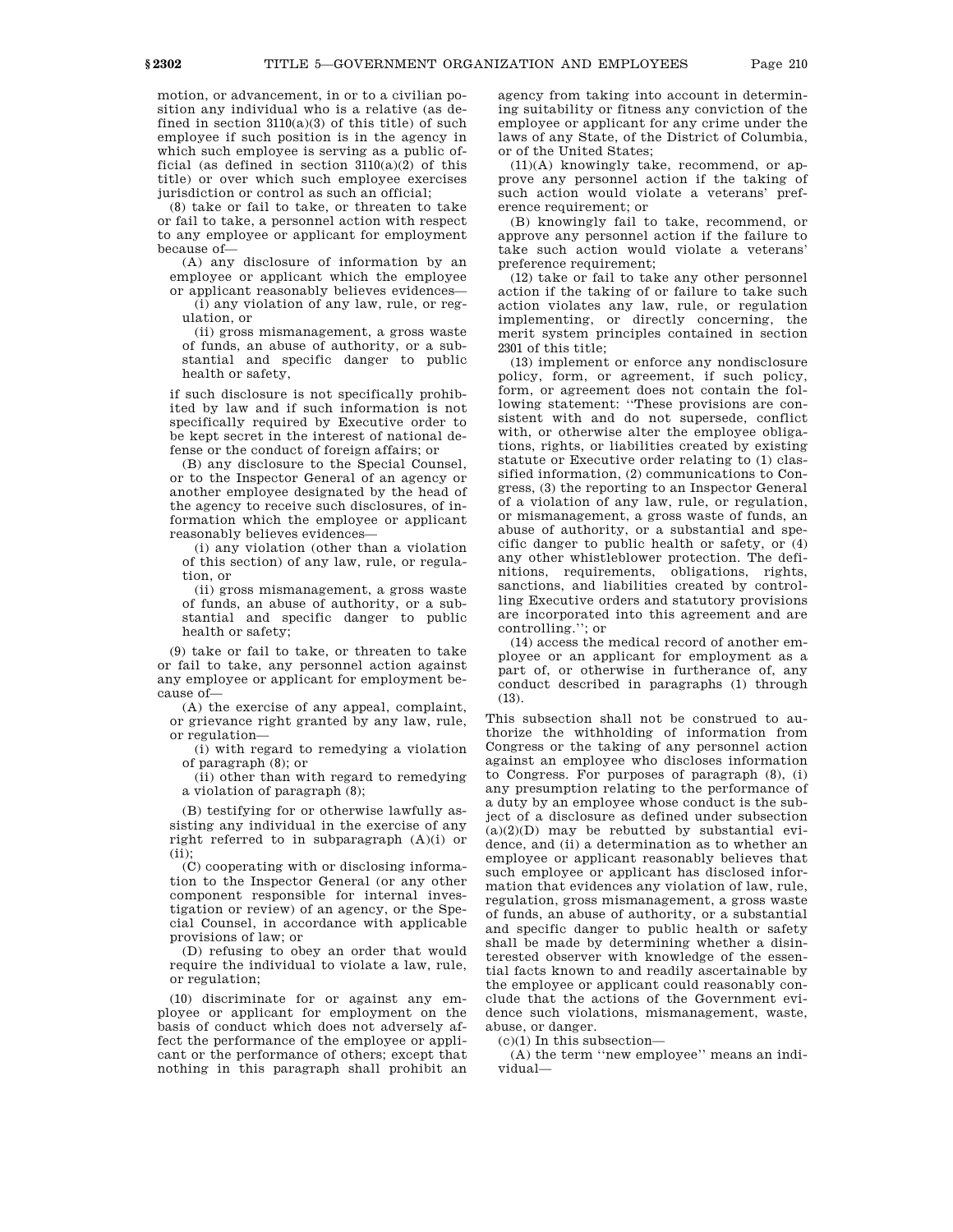motion, or advancement, in or to a civilian position any individual who is a relative (as defined in section  $3110(a)(3)$  of this title) of such employee if such position is in the agency in which such employee is serving as a public official (as defined in section  $3110(a)(2)$  of this title) or over which such employee exercises jurisdiction or control as such an official;

(8) take or fail to take, or threaten to take or fail to take, a personnel action with respect to any employee or applicant for employment because of—

(A) any disclosure of information by an employee or applicant which the employee or applicant reasonably believes evidences—

(i) any violation of any law, rule, or regulation, or

(ii) gross mismanagement, a gross waste of funds, an abuse of authority, or a substantial and specific danger to public health or safety,

if such disclosure is not specifically prohibited by law and if such information is not specifically required by Executive order to be kept secret in the interest of national defense or the conduct of foreign affairs; or

(B) any disclosure to the Special Counsel, or to the Inspector General of an agency or another employee designated by the head of the agency to receive such disclosures, of information which the employee or applicant reasonably believes evidences—

(i) any violation (other than a violation of this section) of any law, rule, or regulation, or

(ii) gross mismanagement, a gross waste of funds, an abuse of authority, or a substantial and specific danger to public health or safety;

(9) take or fail to take, or threaten to take or fail to take, any personnel action against any employee or applicant for employment because of—

(A) the exercise of any appeal, complaint, or grievance right granted by any law, rule, or regulation—

(i) with regard to remedying a violation of paragraph (8); or

(ii) other than with regard to remedying a violation of paragraph (8);

(B) testifying for or otherwise lawfully assisting any individual in the exercise of any right referred to in subparagraph (A)(i) or (ii);

(C) cooperating with or disclosing information to the Inspector General (or any other component responsible for internal investigation or review) of an agency, or the Special Counsel, in accordance with applicable provisions of law; or

(D) refusing to obey an order that would require the individual to violate a law, rule, or regulation;

(10) discriminate for or against any employee or applicant for employment on the basis of conduct which does not adversely affect the performance of the employee or applicant or the performance of others; except that nothing in this paragraph shall prohibit an

agency from taking into account in determining suitability or fitness any conviction of the employee or applicant for any crime under the laws of any State, of the District of Columbia, or of the United States;

(11)(A) knowingly take, recommend, or approve any personnel action if the taking of such action would violate a veterans' preference requirement; or

(B) knowingly fail to take, recommend, or approve any personnel action if the failure to take such action would violate a veterans' preference requirement;

(12) take or fail to take any other personnel action if the taking of or failure to take such action violates any law, rule, or regulation implementing, or directly concerning, the merit system principles contained in section 2301 of this title;

(13) implement or enforce any nondisclosure policy, form, or agreement, if such policy, form, or agreement does not contain the following statement: ''These provisions are consistent with and do not supersede, conflict with, or otherwise alter the employee obligations, rights, or liabilities created by existing statute or Executive order relating to (1) classified information, (2) communications to Congress, (3) the reporting to an Inspector General of a violation of any law, rule, or regulation, or mismanagement, a gross waste of funds, an abuse of authority, or a substantial and specific danger to public health or safety, or (4) any other whistleblower protection. The definitions, requirements, obligations, rights, sanctions, and liabilities created by controlling Executive orders and statutory provisions are incorporated into this agreement and are controlling.''; or

(14) access the medical record of another employee or an applicant for employment as a part of, or otherwise in furtherance of, any conduct described in paragraphs (1) through (13).

This subsection shall not be construed to authorize the withholding of information from Congress or the taking of any personnel action against an employee who discloses information to Congress. For purposes of paragraph (8), (i) any presumption relating to the performance of a duty by an employee whose conduct is the subject of a disclosure as defined under subsection  $(a)(2)(D)$  may be rebutted by substantial evidence, and (ii) a determination as to whether an employee or applicant reasonably believes that such employee or applicant has disclosed information that evidences any violation of law, rule, regulation, gross mismanagement, a gross waste of funds, an abuse of authority, or a substantial and specific danger to public health or safety shall be made by determining whether a disinterested observer with knowledge of the essential facts known to and readily ascertainable by the employee or applicant could reasonably conclude that the actions of the Government evidence such violations, mismanagement, waste, abuse, or danger.

(c)(1) In this subsection—

(A) the term ''new employee'' means an individual—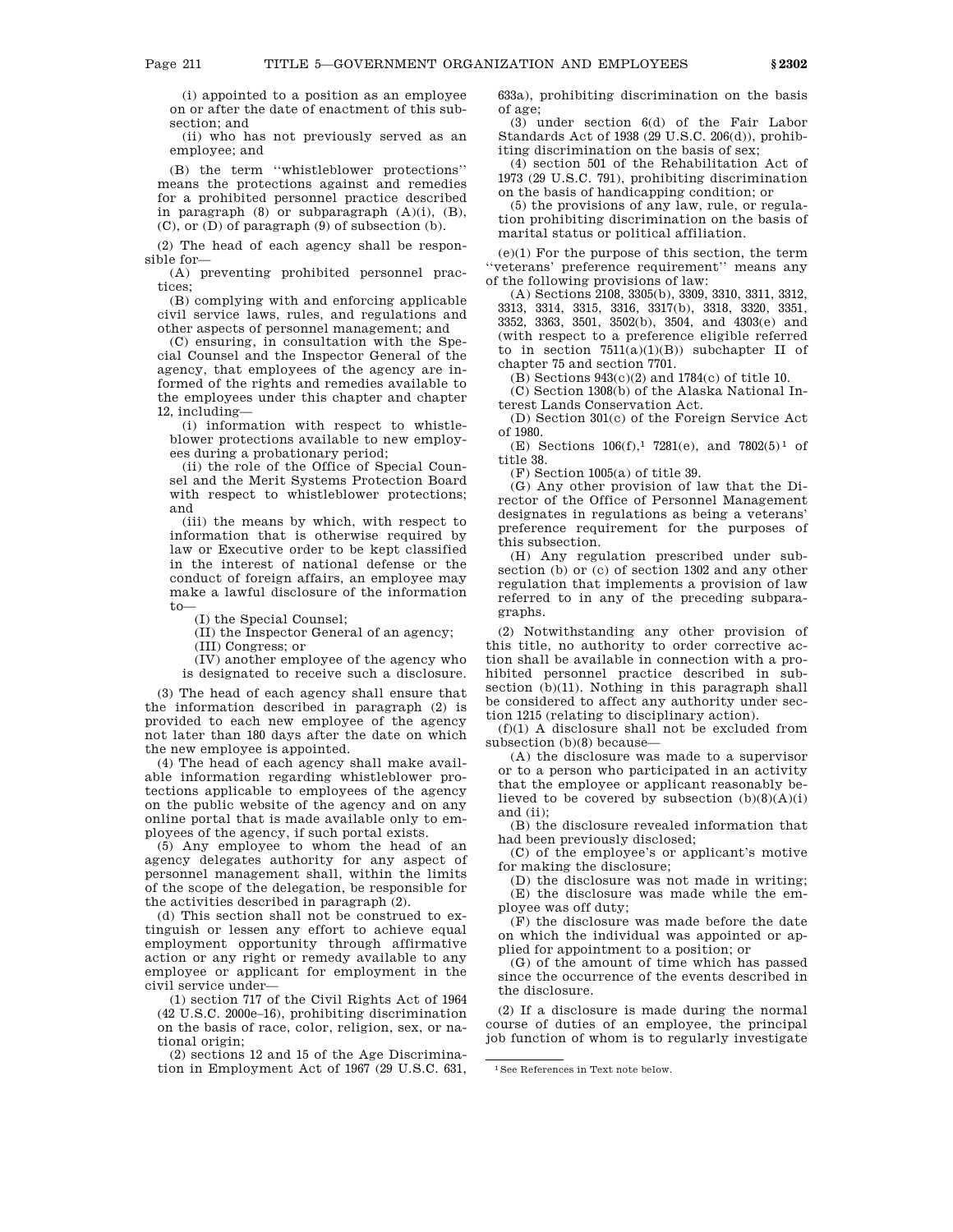(i) appointed to a position as an employee on or after the date of enactment of this subsection; and

(ii) who has not previously served as an employee; and

(B) the term ''whistleblower protections'' means the protections against and remedies for a prohibited personnel practice described in paragraph (8) or subparagraph (A)(i), (B), (C), or (D) of paragraph (9) of subsection (b).

(2) The head of each agency shall be responsible for—

(A) preventing prohibited personnel practices;

(B) complying with and enforcing applicable civil service laws, rules, and regulations and other aspects of personnel management; and

(C) ensuring, in consultation with the Special Counsel and the Inspector General of the agency, that employees of the agency are informed of the rights and remedies available to the employees under this chapter and chapter 12, including—

(i) information with respect to whistleblower protections available to new employees during a probationary period;

(ii) the role of the Office of Special Counsel and the Merit Systems Protection Board with respect to whistleblower protections; and

(iii) the means by which, with respect to information that is otherwise required by law or Executive order to be kept classified in the interest of national defense or the conduct of foreign affairs, an employee may make a lawful disclosure of the information to—

(I) the Special Counsel;

(II) the Inspector General of an agency;

(III) Congress; or

(IV) another employee of the agency who is designated to receive such a disclosure.

(3) The head of each agency shall ensure that the information described in paragraph (2) is provided to each new employee of the agency not later than 180 days after the date on which the new employee is appointed.

(4) The head of each agency shall make available information regarding whistleblower protections applicable to employees of the agency on the public website of the agency and on any online portal that is made available only to employees of the agency, if such portal exists.

(5) Any employee to whom the head of an agency delegates authority for any aspect of personnel management shall, within the limits of the scope of the delegation, be responsible for the activities described in paragraph (2).

(d) This section shall not be construed to extinguish or lessen any effort to achieve equal employment opportunity through affirmative action or any right or remedy available to any employee or applicant for employment in the civil service under—

(1) section 717 of the Civil Rights Act of 1964 (42 U.S.C. 2000e–16), prohibiting discrimination on the basis of race, color, religion, sex, or national origin;

(2) sections 12 and 15 of the Age Discrimination in Employment Act of 1967 (29 U.S.C. 631, 633a), prohibiting discrimination on the basis of age;

(3) under section 6(d) of the Fair Labor Standards Act of 1938 (29 U.S.C. 206(d)), prohibiting discrimination on the basis of sex;

(4) section 501 of the Rehabilitation Act of 1973 (29 U.S.C. 791), prohibiting discrimination on the basis of handicapping condition; or

(5) the provisions of any law, rule, or regulation prohibiting discrimination on the basis of marital status or political affiliation.

(e)(1) For the purpose of this section, the term ''veterans' preference requirement'' means any of the following provisions of law:

(A) Sections 2108, 3305(b), 3309, 3310, 3311, 3312, 3313, 3314, 3315, 3316, 3317(b), 3318, 3320, 3351, 3352, 3363, 3501, 3502(b), 3504, and 4303(e) and (with respect to a preference eligible referred to in section 7511(a)(1)(B)) subchapter II of chapter 75 and section 7701.

 $(B)$  Sections 943 $(c)(2)$  and 1784 $(c)$  of title 10.

(C) Section 1308(b) of the Alaska National Interest Lands Conservation Act.

(D) Section 301(c) of the Foreign Service Act of 1980.

(E) Sections  $106(f)$ ,<sup>1</sup> 7281(e), and 7802(5)<sup>1</sup> of title 38.

(F) Section 1005(a) of title 39.

(G) Any other provision of law that the Director of the Office of Personnel Management designates in regulations as being a veterans' preference requirement for the purposes of this subsection.

(H) Any regulation prescribed under subsection (b) or (c) of section 1302 and any other regulation that implements a provision of law referred to in any of the preceding subparagraphs.

(2) Notwithstanding any other provision of this title, no authority to order corrective action shall be available in connection with a prohibited personnel practice described in subsection (b)(11). Nothing in this paragraph shall be considered to affect any authority under section 1215 (relating to disciplinary action).

(f)(1) A disclosure shall not be excluded from subsection (b)(8) because—

(A) the disclosure was made to a supervisor or to a person who participated in an activity that the employee or applicant reasonably believed to be covered by subsection  $(b)(8)(A)(i)$ and (ii);

(B) the disclosure revealed information that had been previously disclosed;

(C) of the employee's or applicant's motive for making the disclosure;

(D) the disclosure was not made in writing; (E) the disclosure was made while the employee was off duty;

(F) the disclosure was made before the date on which the individual was appointed or applied for appointment to a position; or

(G) of the amount of time which has passed since the occurrence of the events described in the disclosure.

(2) If a disclosure is made during the normal course of duties of an employee, the principal job function of whom is to regularly investigate

<sup>1</sup>See References in Text note below.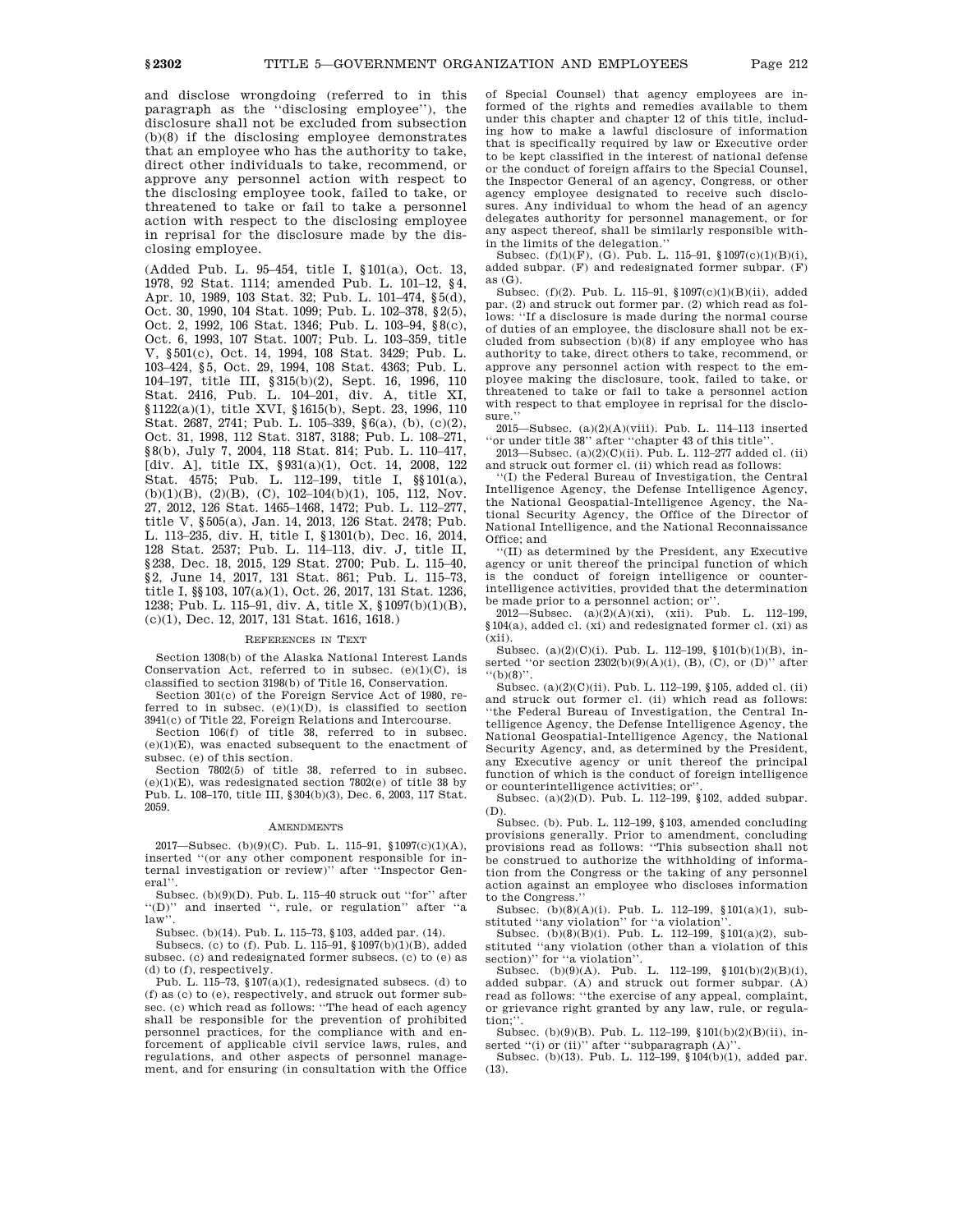and disclose wrongdoing (referred to in this paragraph as the ''disclosing employee''), the disclosure shall not be excluded from subsection (b)(8) if the disclosing employee demonstrates that an employee who has the authority to take, direct other individuals to take, recommend, or approve any personnel action with respect to the disclosing employee took, failed to take, or threatened to take or fail to take a personnel action with respect to the disclosing employee in reprisal for the disclosure made by the disclosing employee.

(Added Pub. L. 95–454, title I, §101(a), Oct. 13, 1978, 92 Stat. 1114; amended Pub. L. 101–12, §4, Apr. 10, 1989, 103 Stat. 32; Pub. L. 101–474, §5(d), Oct. 30, 1990, 104 Stat. 1099; Pub. L. 102–378, §2(5), Oct. 2, 1992, 106 Stat. 1346; Pub. L. 103–94, §8(c), Oct. 6, 1993, 107 Stat. 1007; Pub. L. 103–359, title V, §501(c), Oct. 14, 1994, 108 Stat. 3429; Pub. L. 103–424, §5, Oct. 29, 1994, 108 Stat. 4363; Pub. L. 104–197, title III, §315(b)(2), Sept. 16, 1996, 110 Stat. 2416, Pub. L. 104–201, div. A, title XI, §1122(a)(1), title XVI, §1615(b), Sept. 23, 1996, 110 Stat. 2687, 2741; Pub. L. 105–339, §6(a), (b), (c)(2), Oct. 31, 1998, 112 Stat. 3187, 3188; Pub. L. 108–271, §8(b), July 7, 2004, 118 Stat. 814; Pub. L. 110–417, [div. A], title IX, §931(a)(1), Oct. 14, 2008, 122 Stat. 4575; Pub. L. 112–199, title I, §§101(a), (b)(1)(B), (2)(B), (C), 102–104(b)(1), 105, 112, Nov. 27, 2012, 126 Stat. 1465–1468, 1472; Pub. L. 112–277, title V, §505(a), Jan. 14, 2013, 126 Stat. 2478; Pub. L. 113–235, div. H, title I, §1301(b), Dec. 16, 2014, 128 Stat. 2537; Pub. L. 114–113, div. J, title II, §238, Dec. 18, 2015, 129 Stat. 2700; Pub. L. 115–40, §2, June 14, 2017, 131 Stat. 861; Pub. L. 115–73, title I, §§103, 107(a)(1), Oct. 26, 2017, 131 Stat. 1236, 1238; Pub. L. 115–91, div. A, title X, §1097(b)(1)(B), (c)(1), Dec. 12, 2017, 131 Stat. 1616, 1618.)

### REFERENCES IN TEXT

Section 1308(b) of the Alaska National Interest Lands Conservation Act, referred to in subsec.  $(e)(1)(C)$ , is classified to section 3198(b) of Title 16, Conservation.

Section 301(c) of the Foreign Service Act of 1980, referred to in subsec.  $(e)(1)(D)$ , is classified to section 3941(c) of Title 22, Foreign Relations and Intercourse.

Section 106(f) of title 38, referred to in subsec. (e)(1)(E), was enacted subsequent to the enactment of subsec. (e) of this section.

Section 7802(5) of title 38, referred to in subsec.  $(e)(1)(E)$ , was redesignated section 7802 $(e)$  of title 38 by Pub. L. 108–170, title III, §304(b)(3), Dec. 6, 2003, 117 Stat. 2059.

#### **AMENDMENTS**

2017—Subsec. (b)(9)(C). Pub. L. 115–91, §1097(c)(1)(A), inserted ''(or any other component responsible for internal investigation or review)'' after ''Inspector General''.

Subsec. (b)(9)(D). Pub. L. 115–40 struck out ''for'' after ''(D)'' and inserted '', rule, or regulation'' after ''a law''.

Subsec. (b)(14). Pub. L. 115–73, §103, added par. (14).

Subsecs. (c) to (f). Pub. L. 115–91,  $\frac{$1097(b)(1)(B) \text{, added}}{2}$ subsec. (c) and redesignated former subsecs. (c) to (e) as (d) to (f), respectively.

Pub. L. 115–73,  $$107(a)(1)$ , redesignated subsecs. (d) to (f) as (c) to (e), respectively, and struck out former subsec. (c) which read as follows: ''The head of each agency shall be responsible for the prevention of prohibited personnel practices, for the compliance with and enforcement of applicable civil service laws, rules, and regulations, and other aspects of personnel management, and for ensuring (in consultation with the Office

of Special Counsel) that agency employees are informed of the rights and remedies available to them under this chapter and chapter 12 of this title, including how to make a lawful disclosure of information that is specifically required by law or Executive order to be kept classified in the interest of national defense or the conduct of foreign affairs to the Special Counsel, the Inspector General of an agency, Congress, or other agency employee designated to receive such disclosures. Any individual to whom the head of an agency delegates authority for personnel management, or for any aspect thereof, shall be similarly responsible within the limits of the delegation.''

Subsec. (f)(1)(F), (G). Pub. L. 115–91, §1097(c)(1)(B)(i), added subpar. (F) and redesignated former subpar. (F) as (G).

Subsec. (f)(2). Pub. L. 115–91, §1097(c)(1)(B)(ii), added par. (2) and struck out former par. (2) which read as follows: ''If a disclosure is made during the normal course of duties of an employee, the disclosure shall not be excluded from subsection  $(b)(8)$  if any employee who has authority to take, direct others to take, recommend, or approve any personnel action with respect to the employee making the disclosure, took, failed to take, or threatened to take or fail to take a personnel action with respect to that employee in reprisal for the disclosure.''

2015—Subsec. (a)(2)(A)(viii). Pub. L. 114–113 inserted ''or under title 38'' after ''chapter 43 of this title''.

2013—Subsec.  $(a)(2)(C)(ii)$ . Pub. L. 112–277 added cl. (ii) and struck out former cl. (ii) which read as follows:

''(I) the Federal Bureau of Investigation, the Central Intelligence Agency, the Defense Intelligence Agency, the National Geospatial-Intelligence Agency, the National Security Agency, the Office of the Director of National Intelligence, and the National Reconnaissance Office; and

''(II) as determined by the President, any Executive agency or unit thereof the principal function of which is the conduct of foreign intelligence or counterintelligence activities, provided that the determination be made prior to a personnel action; or''.

2012—Subsec. (a)(2)(A)(xi), (xii). Pub. L. 112–199, §104(a), added cl. (xi) and redesignated former cl. (xi) as (xii).

Subsec. (a)(2)(C)(i). Pub. L. 112–199, §101(b)(1)(B), inserted "or section  $2302(b)(9)(A)(i)$ , (B), (C), or (D)" after  $``(b)(8)"$ .

Subsec. (a)(2)(C)(ii). Pub. L. 112–199, §105, added cl. (ii) and struck out former cl. (ii) which read as follows: ''the Federal Bureau of Investigation, the Central Intelligence Agency, the Defense Intelligence Agency, the National Geospatial-Intelligence Agency, the National Security Agency, and, as determined by the President, any Executive agency or unit thereof the principal function of which is the conduct of foreign intelligence or counterintelligence activities; or''.

Subsec. (a)(2)(D). Pub. L. 112–199, §102, added subpar. (D).

Subsec. (b). Pub. L. 112–199, §103, amended concluding provisions generally. Prior to amendment, concluding provisions read as follows: ''This subsection shall not be construed to authorize the withholding of information from the Congress or the taking of any personnel action against an employee who discloses information to the Congress.''

Subsec. (b)(8)(A)(i). Pub. L. 112–199, §101(a)(1), substituted "any violation" for "a violation"

Subsec. (b)(8)(B)(i). Pub. L. 112–199, §101(a)(2), substituted ''any violation (other than a violation of this section)'' for ''a violation''.

Subsec. (b)(9)(A). Pub. L. 112–199, §101(b)(2)(B)(i), added subpar. (A) and struck out former subpar. (A) read as follows: ''the exercise of any appeal, complaint, or grievance right granted by any law, rule, or regulation:"

Subsec. (b)(9)(B). Pub. L. 112–199, §101(b)(2)(B)(ii), in-

serted "(i) or (ii)" after "subparagraph (A)".<br>Subsec. (b)(13). Pub. L. 112–199, §104(b)(1), added par. (13).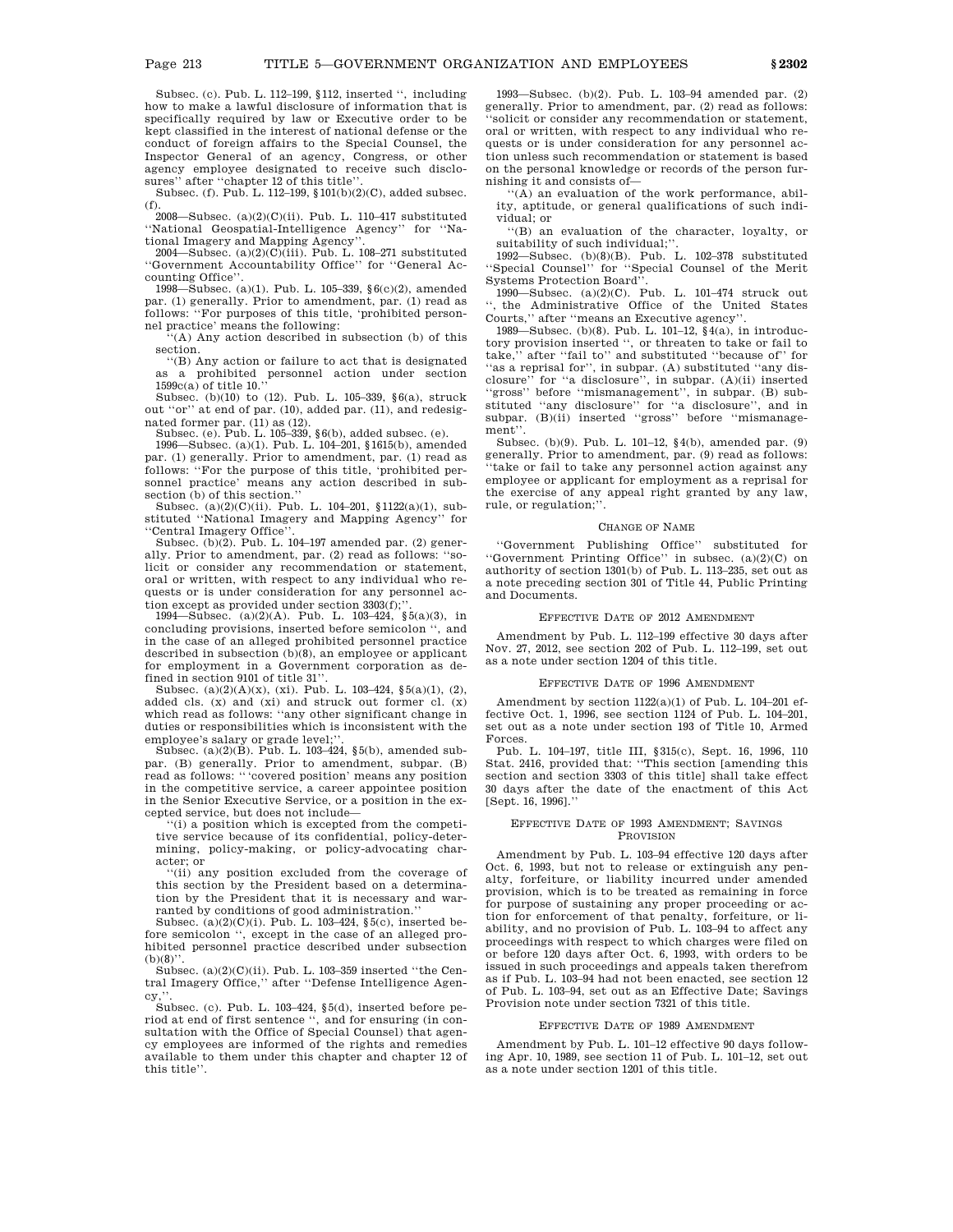Subsec. (c). Pub. L. 112–199, §112, inserted '', including how to make a lawful disclosure of information that is specifically required by law or Executive order to be kept classified in the interest of national defense or the conduct of foreign affairs to the Special Counsel, the Inspector General of an agency, Congress, or other agency employee designated to receive such disclosures" after "chapter 12 of this title"

Subsec. (f). Pub. L. 112–199, §101(b)(2)(C), added subsec. (f).

2008—Subsec. (a)(2)(C)(ii). Pub. L. 110–417 substituted ''National Geospatial-Intelligence Agency'' for ''National Imagery and Mapping Agency''.

2004—Subsec. (a)(2)(C)(iii). Pub. L. 108–271 substituted ''Government Accountability Office'' for ''General Accounting Office''.

1998—Subsec. (a)(1). Pub. L. 105–339, §6(c)(2), amended par. (1) generally. Prior to amendment, par. (1) read as follows: ''For purposes of this title, 'prohibited personnel practice' means the following:

'(A) Any action described in subsection (b) of this section.

''(B) Any action or failure to act that is designated as a prohibited personnel action under section 1599c(a) of title 10.''

Subsec. (b)(10) to (12). Pub. L. 105–339, §6(a), struck out ''or'' at end of par. (10), added par. (11), and redesignated former par. (11) as (12).

Subsec. (e). Pub. L. 105–339, §6(b), added subsec. (e).

1996—Subsec. (a)(1). Pub. L. 104–201, §1615(b), amended par. (1) generally. Prior to amendment, par. (1) read as follows: ''For the purpose of this title, 'prohibited personnel practice' means any action described in sub-

section (b) of this section."<br>Subsec.  $(a)(2)(C)(ii)$ . Pub. L.  $104-201$ ,  $1122(a)(1)$ , substituted ''National Imagery and Mapping Agency'' for

''Central Imagery Office''. Subsec. (b)(2). Pub. L. 104–197 amended par. (2) generally. Prior to amendment, par. (2) read as follows: ''solicit or consider any recommendation or statement, oral or written, with respect to any individual who requests or is under consideration for any personnel action except as provided under section  $3303(f)$ ;".<br>1994—Subsec. (a)(2)(A). Pub. L. 103–424, §5(a)(3), in

concluding provisions, inserted before semicolon '', and in the case of an alleged prohibited personnel practice described in subsection (b)(8), an employee or applicant for employment in a Government corporation as defined in section 9101 of title 31''.

Subsec. (a)(2)(A)(x), (xi). Pub. L. 103–424, §5(a)(1), (2), added cls. (x) and (xi) and struck out former cl. (x) which read as follows: ''any other significant change in duties or responsibilities which is inconsistent with the employee's salary or grade level;'

Subsec. (a)(2)(B). Pub. L. 103–424, §5(b), amended subpar. (B) generally. Prior to amendment, subpar. (B) read as follows: '''covered position' means any position in the competitive service, a career appointee position in the Senior Executive Service, or a position in the excepted service, but does not include—

''(i) a position which is excepted from the competitive service because of its confidential, policy-determining, policy-making, or policy-advocating character; or

''(ii) any position excluded from the coverage of this section by the President based on a determination by the President that it is necessary and warranted by conditions of good administration.''

Subsec. (a)(2)(C)(i). Pub. L. 103–424, §5(c), inserted be-<br>fore semicolon ", except in the case of an alleged prohibited personnel practice described under subsection  $(b)(8)$ "

Subsec.  $(a)(2)(C)(ii)$ . Pub. L. 103-359 inserted "the Central Imagery Office,'' after ''Defense Intelligence Agen-

cy,''. Subsec. (c). Pub. L. 103–424, §5(d), inserted before period at end of first sentence '', and for ensuring (in consultation with the Office of Special Counsel) that agency employees are informed of the rights and remedies available to them under this chapter and chapter 12 of this title''.

1993—Subsec. (b)(2). Pub. L. 103–94 amended par. (2) generally. Prior to amendment, par. (2) read as follows: 'solicit or consider any recommendation or statement, oral or written, with respect to any individual who requests or is under consideration for any personnel action unless such recommendation or statement is based on the personal knowledge or records of the person furnishing it and consists of—

 $\mathcal{H}(\mathbf{A})$  an evaluation of the work performance, ability, aptitude, or general qualifications of such individual; or

''(B) an evaluation of the character, loyalty, or suitability of such individual:"

1992—Subsec. (b)(8)(B). Pub. L. 102–378 substituted ''Special Counsel'' for ''Special Counsel of the Merit Systems Protection Board''.

1990—Subsec. (a)(2)(C). Pub. L. 101–474 struck out '', the Administrative Office of the United States Courts,'' after ''means an Executive agency''.

1989—Subsec. (b)(8). Pub. L. 101–12, §4(a), in introduc-tory provision inserted '', or threaten to take or fail to take,'' after ''fail to'' and substituted ''because of'' for "as a reprisal for", in subpar. (A) substituted "any disclosure'' for ''a disclosure'', in subpar. (A)(ii) inserted ''gross'' before ''mismanagement'', in subpar. (B) substituted ''any disclosure'' for ''a disclosure'', and in subpar. (B)(ii) inserted ''gross'' before ''mismanagement''.

Subsec. (b)(9). Pub. L. 101–12, §4(b), amended par. (9) generally. Prior to amendment, par. (9) read as follows: 'take or fail to take any personnel action against any employee or applicant for employment as a reprisal for the exercise of any appeal right granted by any law, rule, or regulation;''.

### CHANGE OF NAME

''Government Publishing Office'' substituted for ''Government Printing Office'' in subsec. (a)(2)(C) on authority of section 1301(b) of Pub. L. 113–235, set out as a note preceding section 301 of Title 44, Public Printing and Documents.

### EFFECTIVE DATE OF 2012 AMENDMENT

Amendment by Pub. L. 112–199 effective 30 days after Nov. 27, 2012, see section 202 of Pub. L. 112–199, set out as a note under section 1204 of this title.

### EFFECTIVE DATE OF 1996 AMENDMENT

Amendment by section 1122(a)(1) of Pub. L. 104–201 effective Oct. 1, 1996, see section 1124 of Pub. L. 104–201, set out as a note under section 193 of Title 10, Armed Forces.

Pub. L. 104–197, title III, §315(c), Sept. 16, 1996, 110 Stat. 2416, provided that: ''This section [amending this section and section 3303 of this title] shall take effect 30 days after the date of the enactment of this Act [Sept. 16, 1996].''

## EFFECTIVE DATE OF 1993 AMENDMENT; SAVINGS PROVISION

Amendment by Pub. L. 103–94 effective 120 days after Oct. 6, 1993, but not to release or extinguish any penalty, forfeiture, or liability incurred under amended provision, which is to be treated as remaining in force for purpose of sustaining any proper proceeding or action for enforcement of that penalty, forfeiture, or liability, and no provision of Pub. L. 103–94 to affect any proceedings with respect to which charges were filed on or before 120 days after Oct. 6, 1993, with orders to be issued in such proceedings and appeals taken therefrom as if Pub. L. 103–94 had not been enacted, see section 12 of Pub. L. 103–94, set out as an Effective Date; Savings Provision note under section 7321 of this title.

### EFFECTIVE DATE OF 1989 AMENDMENT

Amendment by Pub. L. 101–12 effective 90 days following Apr. 10, 1989, see section 11 of Pub. L. 101–12, set out as a note under section 1201 of this title.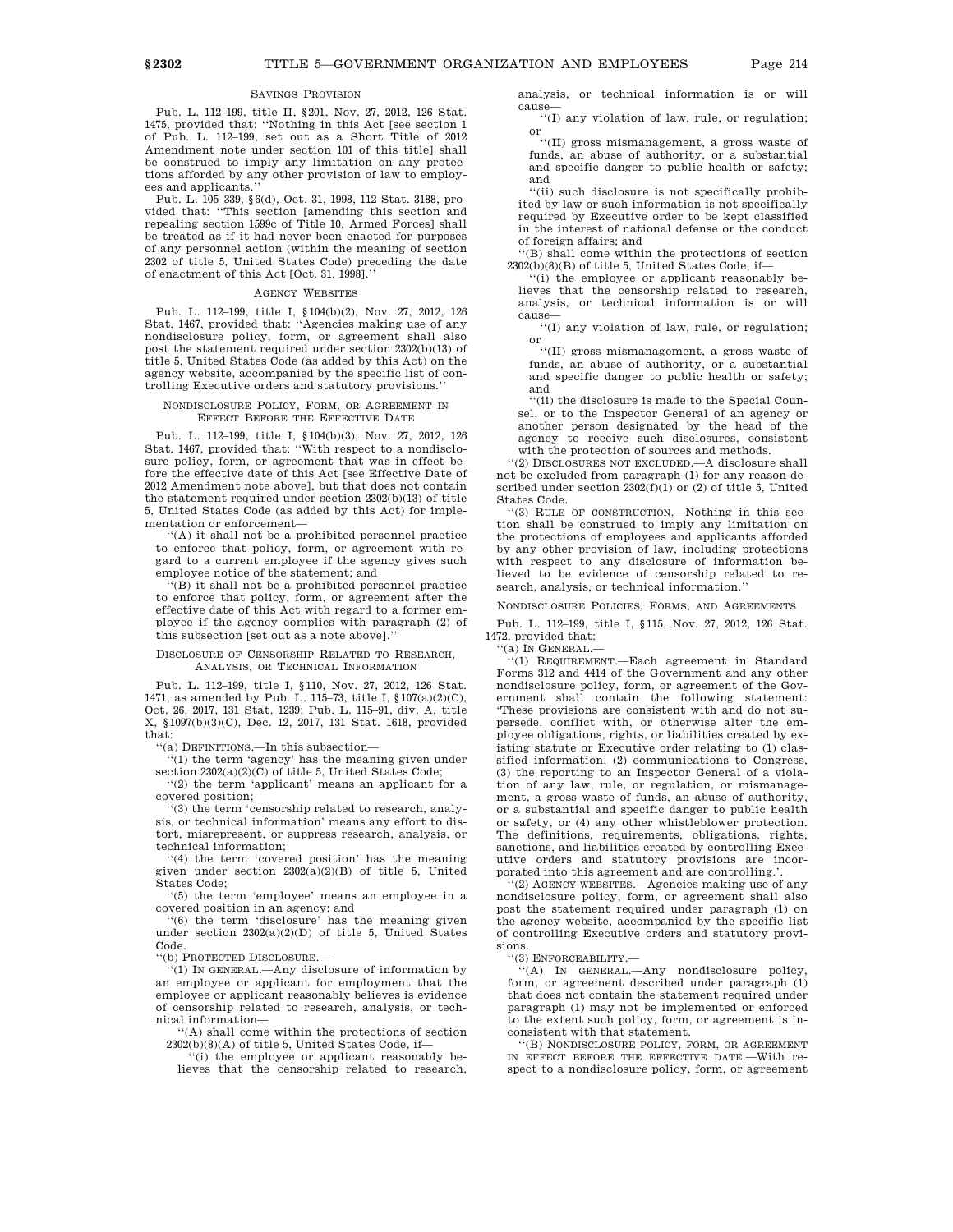## SAVINGS PROVISION

Pub. L. 112–199, title II, §201, Nov. 27, 2012, 126 Stat. 1475, provided that: ''Nothing in this Act [see section 1 of Pub. L. 112–199, set out as a Short Title of 2012 Amendment note under section 101 of this title] shall be construed to imply any limitation on any protections afforded by any other provision of law to employees and applicants.''

Pub. L. 105–339, §6(d), Oct. 31, 1998, 112 Stat. 3188, provided that: ''This section [amending this section and repealing section 1599c of Title 10, Armed Forces] shall be treated as if it had never been enacted for purposes of any personnel action (within the meaning of section 2302 of title 5, United States Code) preceding the date of enactment of this Act [Oct. 31, 1998].''

#### AGENCY WEBSITES

Pub. L. 112–199, title I, §104(b)(2), Nov. 27, 2012, 126 Stat. 1467, provided that: ''Agencies making use of any nondisclosure policy, form, or agreement shall also post the statement required under section 2302(b)(13) of title 5, United States Code (as added by this Act) on the agency website, accompanied by the specific list of controlling Executive orders and statutory provisions.

## NONDISCLOSURE POLICY, FORM, OR AGREEMENT IN EFFECT BEFORE THE EFFECTIVE DATE

Pub. L. 112–199, title I, §104(b)(3), Nov. 27, 2012, 126 Stat. 1467, provided that: ''With respect to a nondisclosure policy, form, or agreement that was in effect before the effective date of this Act [see Effective Date of 2012 Amendment note above], but that does not contain the statement required under section 2302(b)(13) of title 5, United States Code (as added by this Act) for implementation or enforcement—

''(A) it shall not be a prohibited personnel practice to enforce that policy, form, or agreement with regard to a current employee if the agency gives such employee notice of the statement; and

'(B) it shall not be a prohibited personnel practice to enforce that policy, form, or agreement after the effective date of this Act with regard to a former employee if the agency complies with paragraph (2) of this subsection [set out as a note above].''

# DISCLOSURE OF CENSORSHIP RELATED TO RESEARCH, ANALYSIS, OR TECHNICAL INFORMATION

Pub. L. 112–199, title I, §110, Nov. 27, 2012, 126 Stat. 1471, as amended by Pub. L. 115–73, title I, §107(a)(2)(C), Oct. 26, 2017, 131 Stat. 1239; Pub. L. 115–91, div. A, title X, §1097(b)(3)(C), Dec. 12, 2017, 131 Stat. 1618, provided that:

''(a) DEFINITIONS.—In this subsection—

''(1) the term 'agency' has the meaning given under section  $2302(a)(2)(C)$  of title 5, United States Code;

''(2) the term 'applicant' means an applicant for a covered position;

''(3) the term 'censorship related to research, analysis, or technical information' means any effort to distort, misrepresent, or suppress research, analysis, or technical information;

''(4) the term 'covered position' has the meaning given under section  $2302(a)(2)(B)$  of title 5, United States Code;

''(5) the term 'employee' means an employee in a covered position in an agency; and

''(6) the term 'disclosure' has the meaning given under section 2302(a)(2)(D) of title 5, United States Code.

''(b) PROTECTED DISCLOSURE.—

''(1) IN GENERAL.—Any disclosure of information by an employee or applicant for employment that the employee or applicant reasonably believes is evidence of censorship related to research, analysis, or technical information—

''(A) shall come within the protections of section  $2302(\mathrm{b})(8)(\mathrm{A})$  of title 5, United States Code, if—

''(i) the employee or applicant reasonably believes that the censorship related to research, analysis, or technical information is or will cause—

''(I) any violation of law, rule, or regulation; or

''(II) gross mismanagement, a gross waste of funds, an abuse of authority, or a substantial and specific danger to public health or safety; and

''(ii) such disclosure is not specifically prohibited by law or such information is not specifically required by Executive order to be kept classified in the interest of national defense or the conduct of foreign affairs; and

''(B) shall come within the protections of section  $2302(b)(8)(B)$  of title 5, United States Code, if-

''(i) the employee or applicant reasonably believes that the censorship related to research, analysis, or technical information is or will cause—

''(I) any violation of law, rule, or regulation; or

''(II) gross mismanagement, a gross waste of funds, an abuse of authority, or a substantial and specific danger to public health or safety; and

''(ii) the disclosure is made to the Special Counsel, or to the Inspector General of an agency or another person designated by the head of the agency to receive such disclosures, consistent with the protection of sources and methods.

''(2) DISCLOSURES NOT EXCLUDED.—A disclosure shall not be excluded from paragraph (1) for any reason described under section 2302(f)(1) or (2) of title 5, United States Code.

''(3) RULE OF CONSTRUCTION.—Nothing in this section shall be construed to imply any limitation on the protections of employees and applicants afforded by any other provision of law, including protections with respect to any disclosure of information believed to be evidence of censorship related to research, analysis, or technical information.''

## NONDISCLOSURE POLICIES, FORMS, AND AGREEMENTS

Pub. L. 112–199, title I, §115, Nov. 27, 2012, 126 Stat. 1472, provided that:

'(a) IN GENERAL.

''(1) REQUIREMENT.—Each agreement in Standard Forms 312 and 4414 of the Government and any other nondisclosure policy, form, or agreement of the Government shall contain the following statement: 'These provisions are consistent with and do not supersede, conflict with, or otherwise alter the employee obligations, rights, or liabilities created by existing statute or Executive order relating to (1) classified information, (2) communications to Congress, (3) the reporting to an Inspector General of a violation of any law, rule, or regulation, or mismanagement, a gross waste of funds, an abuse of authority, or a substantial and specific danger to public health or safety, or (4) any other whistleblower protection. The definitions, requirements, obligations, rights, sanctions, and liabilities created by controlling Executive orders and statutory provisions are incorporated into this agreement and are controlling.'.

''(2) AGENCY WEBSITES.—Agencies making use of any nondisclosure policy, form, or agreement shall also post the statement required under paragraph (1) on the agency website, accompanied by the specific list of controlling Executive orders and statutory provisions.

'(3) ENFORCEABILITY.-

''(A) IN GENERAL.—Any nondisclosure policy, form, or agreement described under paragraph (1) that does not contain the statement required under paragraph (1) may not be implemented or enforced to the extent such policy, form, or agreement is inconsistent with that statement.

'(B) NONDISCLOSURE POLICY, FORM, OR AGREEMENT IN EFFECT BEFORE THE EFFECTIVE DATE.—With respect to a nondisclosure policy, form, or agreement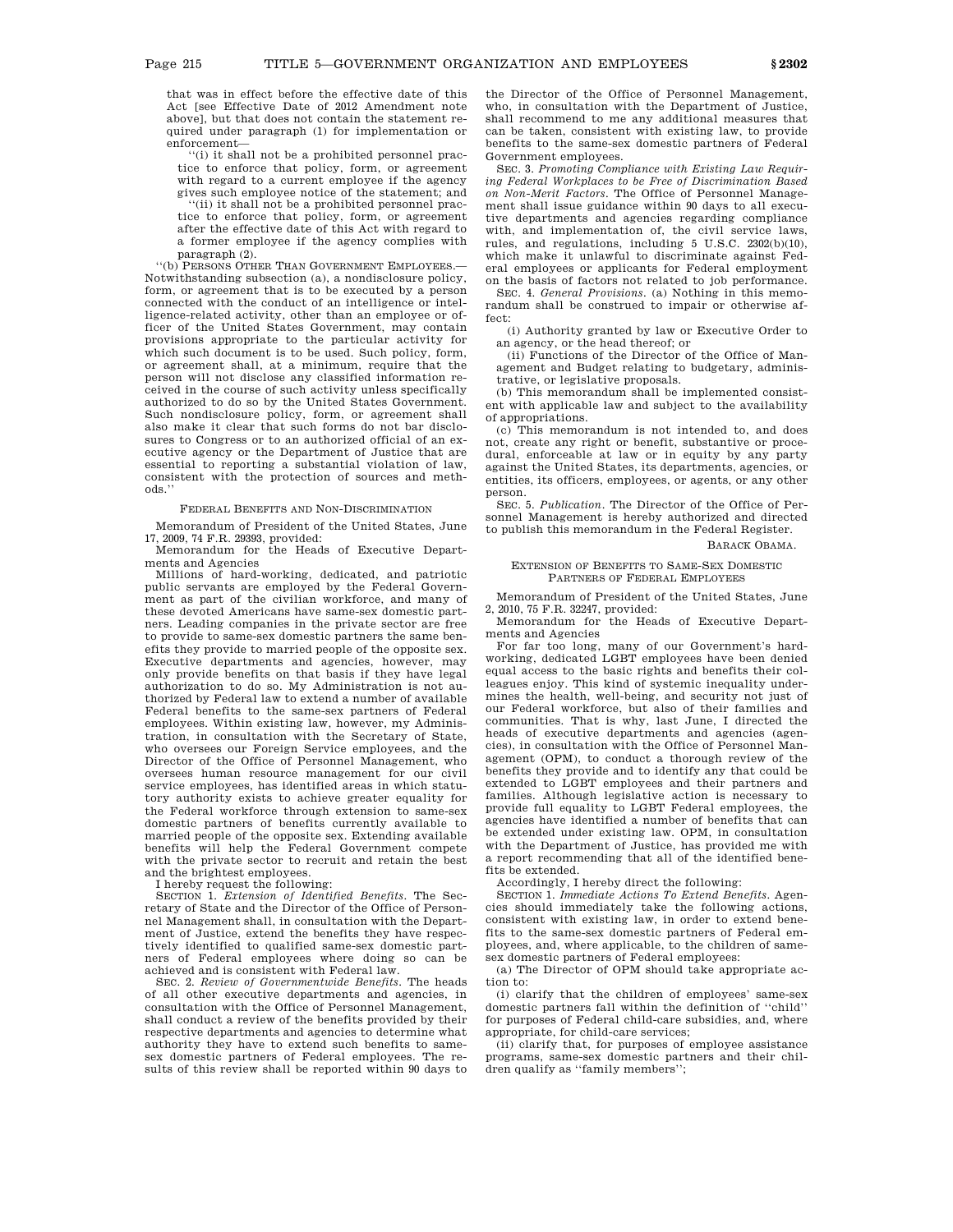that was in effect before the effective date of this Act [see Effective Date of 2012 Amendment note above], but that does not contain the statement required under paragraph (1) for implementation or enforcement—

'(i) it shall not be a prohibited personnel practice to enforce that policy, form, or agreement with regard to a current employee if the agency gives such employee notice of the statement; and ''(ii) it shall not be a prohibited personnel practice to enforce that policy, form, or agreement after the effective date of this Act with regard to a former employee if the agency complies with paragraph (2).

''(b) PERSONS OTHER THAN GOVERNMENT EMPLOYEES.— Notwithstanding subsection (a), a nondisclosure policy, form, or agreement that is to be executed by a person connected with the conduct of an intelligence or intelligence-related activity, other than an employee or officer of the United States Government, may contain provisions appropriate to the particular activity for which such document is to be used. Such policy, form, or agreement shall, at a minimum, require that the person will not disclose any classified information received in the course of such activity unless specifically authorized to do so by the United States Government. Such nondisclosure policy, form, or agreement shall also make it clear that such forms do not bar disclosures to Congress or to an authorized official of an executive agency or the Department of Justice that are essential to reporting a substantial violation of law, consistent with the protection of sources and methods.''

### FEDERAL BENEFITS AND NON-DISCRIMINATION

Memorandum of President of the United States, June

17, 2009, 74 F.R. 29393, provided: Memorandum for the Heads of Executive Departments and Agencies

Millions of hard-working, dedicated, and patriotic public servants are employed by the Federal Government as part of the civilian workforce, and many of these devoted Americans have same-sex domestic partners. Leading companies in the private sector are free to provide to same-sex domestic partners the same benefits they provide to married people of the opposite sex. Executive departments and agencies, however, may only provide benefits on that basis if they have legal authorization to do so. My Administration is not authorized by Federal law to extend a number of available Federal benefits to the same-sex partners of Federal employees. Within existing law, however, my Administration, in consultation with the Secretary of State, who oversees our Foreign Service employees, and the Director of the Office of Personnel Management, who oversees human resource management for our civil service employees, has identified areas in which statutory authority exists to achieve greater equality for the Federal workforce through extension to same-sex domestic partners of benefits currently available to married people of the opposite sex. Extending available benefits will help the Federal Government compete with the private sector to recruit and retain the best and the brightest employees.

I hereby request the following: SECTION 1. *Extension of Identified Benefits*. The Secretary of State and the Director of the Office of Personnel Management shall, in consultation with the Department of Justice, extend the benefits they have respectively identified to qualified same-sex domestic partners of Federal employees where doing so can be achieved and is consistent with Federal law.

SEC. 2. *Review of Governmentwide Benefits*. The heads of all other executive departments and agencies, in consultation with the Office of Personnel Management, shall conduct a review of the benefits provided by their respective departments and agencies to determine what authority they have to extend such benefits to samesex domestic partners of Federal employees. The results of this review shall be reported within 90 days to

the Director of the Office of Personnel Management, who, in consultation with the Department of Justice, shall recommend to me any additional measures that can be taken, consistent with existing law, to provide benefits to the same-sex domestic partners of Federal Government employees.

SEC. 3. *Promoting Compliance with Existing Law Requiring Federal Workplaces to be Free of Discrimination Based on Non-Merit Factors*. The Office of Personnel Management shall issue guidance within 90 days to all executive departments and agencies regarding compliance with, and implementation of, the civil service laws, rules, and regulations, including 5 U.S.C. 2302(b)(10), which make it unlawful to discriminate against Federal employees or applicants for Federal employment on the basis of factors not related to job performance.

SEC. 4. *General Provisions*. (a) Nothing in this memorandum shall be construed to impair or otherwise affect:

(i) Authority granted by law or Executive Order to an agency, or the head thereof; or

(ii) Functions of the Director of the Office of Management and Budget relating to budgetary, administrative, or legislative proposals.

(b) This memorandum shall be implemented consistent with applicable law and subject to the availability of appropriations.

(c) This memorandum is not intended to, and does not, create any right or benefit, substantive or procedural, enforceable at law or in equity by any party against the United States, its departments, agencies, or entities, its officers, employees, or agents, or any other person.

SEC. 5. *Publication*. The Director of the Office of Personnel Management is hereby authorized and directed to publish this memorandum in the Federal Register.

BARACK OBAMA.

## EXTENSION OF BENEFITS TO SAME-SEX DOMESTIC PARTNERS OF FEDERAL EMPLOYEES

Memorandum of President of the United States, June 2, 2010, 75 F.R. 32247, provided:

Memorandum for the Heads of Executive Departments and Agencies

For far too long, many of our Government's hardworking, dedicated LGBT employees have been denied equal access to the basic rights and benefits their colleagues enjoy. This kind of systemic inequality undermines the health, well-being, and security not just of our Federal workforce, but also of their families and communities. That is why, last June, I directed the heads of executive departments and agencies (agencies), in consultation with the Office of Personnel Management (OPM), to conduct a thorough review of the benefits they provide and to identify any that could be extended to LGBT employees and their partners and families. Although legislative action is necessary to provide full equality to LGBT Federal employees, the agencies have identified a number of benefits that can be extended under existing law. OPM, in consultation with the Department of Justice, has provided me with a report recommending that all of the identified benefits be extended.

Accordingly, I hereby direct the following:

SECTION 1. *Immediate Actions To Extend Benefits*. Agencies should immediately take the following actions, consistent with existing law, in order to extend benefits to the same-sex domestic partners of Federal employees, and, where applicable, to the children of samesex domestic partners of Federal employees:

(a) The Director of OPM should take appropriate action to:

(i) clarify that the children of employees' same-sex domestic partners fall within the definition of ''child'' for purposes of Federal child-care subsidies, and, where appropriate, for child-care services;

(ii) clarify that, for purposes of employee assistance programs, same-sex domestic partners and their children qualify as ''family members'';